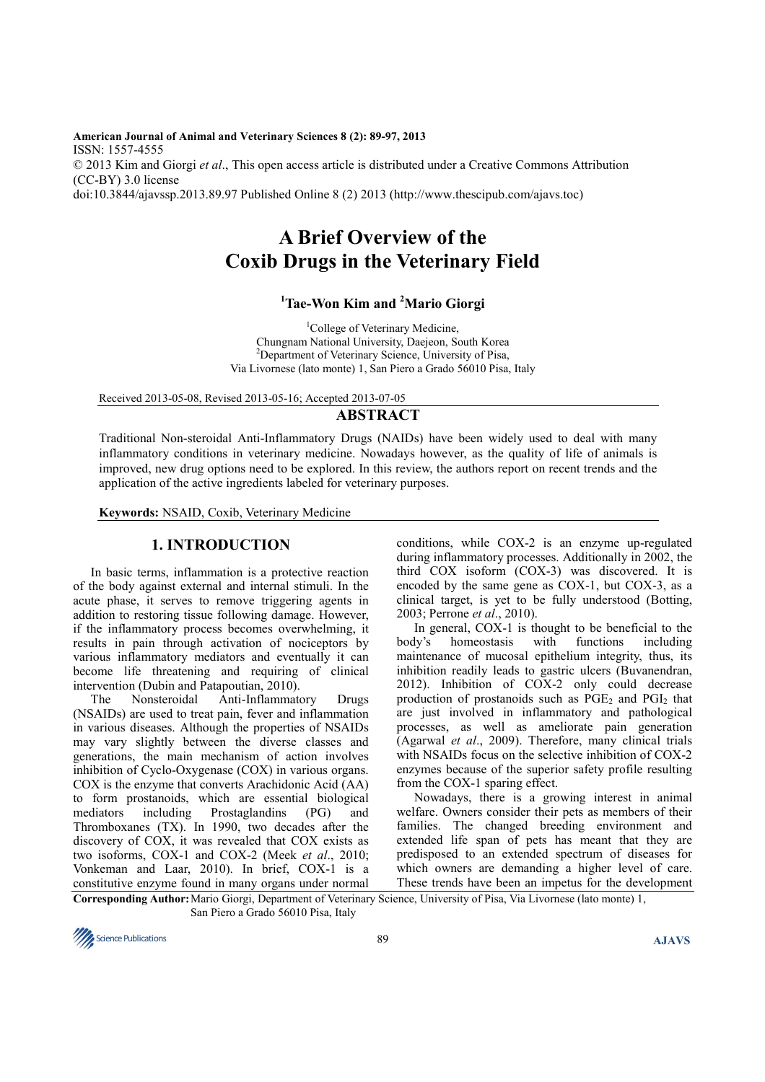**American Journal of Animal and Veterinary Sciences 8 (2): 89-97, 2013**  ISSN: 1557-4555 © 2013 Kim and Giorgi *et al*., This open access article is distributed under a Creative Commons Attribution (CC-BY) 3.0 license doi:10.3844/ajavssp.2013.89.97 Published Online 8 (2) 2013 (http://www.thescipub.com/ajavs.toc)

# **A Brief Overview of the Coxib Drugs in the Veterinary Field**

# **<sup>1</sup>Tae-Won Kim and <sup>2</sup>Mario Giorgi**

<sup>1</sup>College of Veterinary Medicine, Chungnam National University, Daejeon, South Korea  $2$ Department of Veterinary Science, University of Pisa, Via Livornese (lato monte) 1, San Piero a Grado 56010 Pisa, Italy

Received 2013-05-08, Revised 2013-05-16; Accepted 2013-07-05

# **ABSTRACT**

Traditional Non-steroidal Anti-Inflammatory Drugs (NAIDs) have been widely used to deal with many inflammatory conditions in veterinary medicine. Nowadays however, as the quality of life of animals is improved, new drug options need to be explored. In this review, the authors report on recent trends and the application of the active ingredients labeled for veterinary purposes.

**Keywords:** NSAID, Coxib, Veterinary Medicine

# **1. INTRODUCTION**

In basic terms, inflammation is a protective reaction of the body against external and internal stimuli. In the acute phase, it serves to remove triggering agents in addition to restoring tissue following damage. However, if the inflammatory process becomes overwhelming, it results in pain through activation of nociceptors by various inflammatory mediators and eventually it can become life threatening and requiring of clinical intervention (Dubin and Patapoutian, 2010).

The Nonsteroidal Anti-Inflammatory Drugs (NSAIDs) are used to treat pain, fever and inflammation in various diseases. Although the properties of NSAIDs may vary slightly between the diverse classes and generations, the main mechanism of action involves inhibition of Cyclo-Oxygenase (COX) in various organs. COX is the enzyme that converts Arachidonic Acid (AA) to form prostanoids, which are essential biological mediators including Prostaglandins (PG) and Thromboxanes (TX). In 1990, two decades after the discovery of COX, it was revealed that COX exists as two isoforms, COX-1 and COX-2 (Meek *et al*., 2010; Vonkeman and Laar, 2010). In brief, COX-1 is a constitutive enzyme found in many organs under normal conditions, while COX-2 is an enzyme up-regulated during inflammatory processes. Additionally in 2002, the third COX isoform (COX-3) was discovered. It is encoded by the same gene as COX-1, but COX-3, as a clinical target, is yet to be fully understood (Botting, 2003; Perrone *et al*., 2010).

In general, COX-1 is thought to be beneficial to the<br>Iv's homeostasis with functions including body's homeostasis maintenance of mucosal epithelium integrity, thus, its inhibition readily leads to gastric ulcers (Buvanendran, 2012). Inhibition of COX-2 only could decrease production of prostanoids such as  $PGE<sub>2</sub>$  and  $PGI<sub>2</sub>$  that are just involved in inflammatory and pathological processes, as well as ameliorate pain generation (Agarwal *et al*., 2009). Therefore, many clinical trials with NSAIDs focus on the selective inhibition of COX-2 enzymes because of the superior safety profile resulting from the COX-1 sparing effect.

Nowadays, there is a growing interest in animal welfare. Owners consider their pets as members of their families. The changed breeding environment and extended life span of pets has meant that they are predisposed to an extended spectrum of diseases for which owners are demanding a higher level of care. These trends have been an impetus for the development

**Corresponding Author:** Mario Giorgi, Department of Veterinary Science, University of Pisa, Via Livornese (lato monte) 1, San Piero a Grado 56010 Pisa, Italy

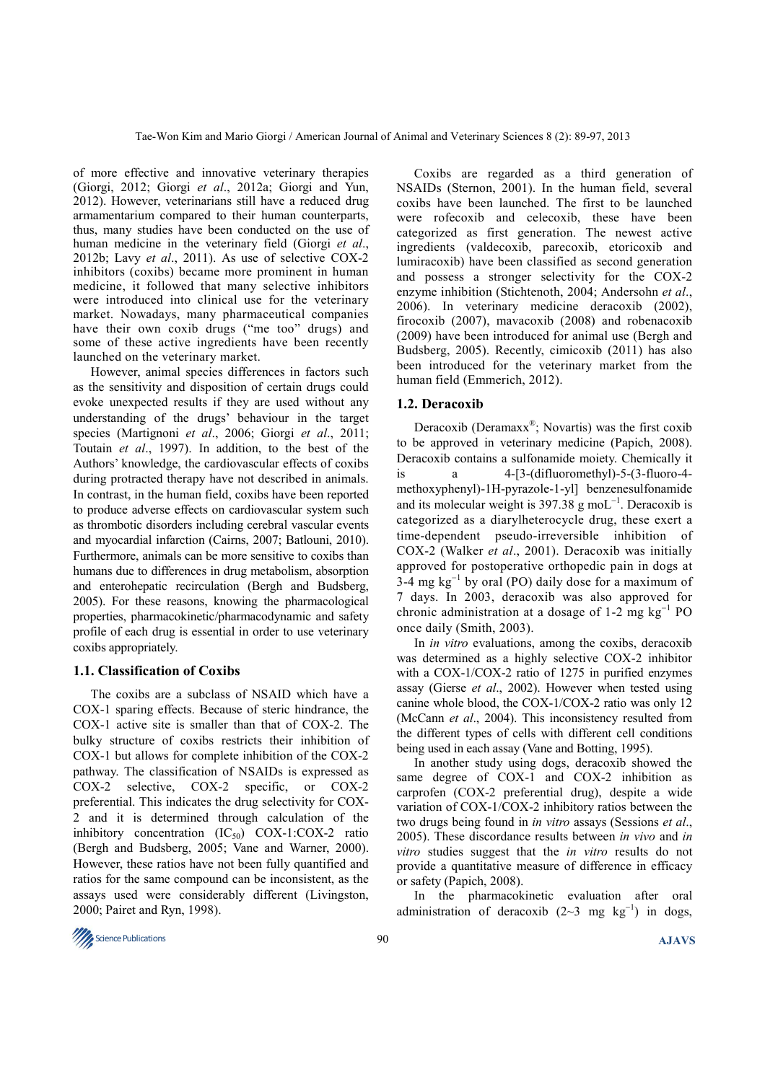of more effective and innovative veterinary therapies (Giorgi, 2012; Giorgi *et al*., 2012a; Giorgi and Yun, 2012). However, veterinarians still have a reduced drug armamentarium compared to their human counterparts, thus, many studies have been conducted on the use of human medicine in the veterinary field (Giorgi *et al*., 2012b; Lavy *et al*., 2011). As use of selective COX-2 inhibitors (coxibs) became more prominent in human medicine, it followed that many selective inhibitors were introduced into clinical use for the veterinary market. Nowadays, many pharmaceutical companies have their own coxib drugs ("me too" drugs) and some of these active ingredients have been recently launched on the veterinary market.

However, animal species differences in factors such as the sensitivity and disposition of certain drugs could evoke unexpected results if they are used without any understanding of the drugs' behaviour in the target species (Martignoni *et al*., 2006; Giorgi *et al*., 2011; Toutain *et al*., 1997). In addition, to the best of the Authors' knowledge, the cardiovascular effects of coxibs during protracted therapy have not described in animals. In contrast, in the human field, coxibs have been reported to produce adverse effects on cardiovascular system such as thrombotic disorders including cerebral vascular events and myocardial infarction (Cairns, 2007; Batlouni, 2010). Furthermore, animals can be more sensitive to coxibs than humans due to differences in drug metabolism, absorption and enterohepatic recirculation (Bergh and Budsberg, 2005). For these reasons, knowing the pharmacological properties, pharmacokinetic/pharmacodynamic and safety profile of each drug is essential in order to use veterinary coxibs appropriately.

#### **1.1. Classification of Coxibs**

The coxibs are a subclass of NSAID which have a COX-1 sparing effects. Because of steric hindrance, the COX-1 active site is smaller than that of COX-2. The bulky structure of coxibs restricts their inhibition of COX-1 but allows for complete inhibition of the COX-2 pathway. The classification of NSAIDs is expressed as COX-2 selective, COX-2 specific, or COX-2 preferential. This indicates the drug selectivity for COX-2 and it is determined through calculation of the inhibitory concentration  $(IC_{50})$  COX-1:COX-2 ratio (Bergh and Budsberg, 2005; Vane and Warner, 2000). However, these ratios have not been fully quantified and ratios for the same compound can be inconsistent, as the assays used were considerably different (Livingston, 2000; Pairet and Ryn, 1998).

Coxibs are regarded as a third generation of NSAIDs (Sternon, 2001). In the human field, several coxibs have been launched. The first to be launched were rofecoxib and celecoxib, these have been categorized as first generation. The newest active ingredients (valdecoxib, parecoxib, etoricoxib and lumiracoxib) have been classified as second generation and possess a stronger selectivity for the COX-2 enzyme inhibition (Stichtenoth, 2004; Andersohn *et al*., 2006). In veterinary medicine deracoxib (2002), firocoxib (2007), mavacoxib (2008) and robenacoxib (2009) have been introduced for animal use (Bergh and Budsberg, 2005). Recently, cimicoxib (2011) has also been introduced for the veterinary market from the human field (Emmerich, 2012).

#### **1.2. Deracoxib**

Deracoxib (Deramax $x^{\circ}$ ; Novartis) was the first coxib to be approved in veterinary medicine (Papich, 2008). Deracoxib contains a sulfonamide moiety. Chemically it is a 4-[3-(difluoromethyl)-5-(3-fluoro-4 methoxyphenyl)-1H-pyrazole-1-yl] benzenesulfonamide and its molecular weight is 397.38 g moL<sup>-1</sup>. Deracoxib is categorized as a diarylheterocycle drug, these exert a time-dependent pseudo-irreversible inhibition of COX-2 (Walker *et al*., 2001). Deracoxib was initially approved for postoperative orthopedic pain in dogs at 3-4 mg kg<sup>−</sup><sup>1</sup> by oral (PO) daily dose for a maximum of 7 days. In 2003, deracoxib was also approved for chronic administration at a dosage of  $1-2$  mg kg<sup>-1</sup> PO once daily (Smith, 2003).

In *in vitro* evaluations, among the coxibs, deracoxib was determined as a highly selective COX-2 inhibitor with a COX-1/COX-2 ratio of 1275 in purified enzymes assay (Gierse *et al*., 2002). However when tested using canine whole blood, the COX-1/COX-2 ratio was only 12 (McCann *et al*., 2004). This inconsistency resulted from the different types of cells with different cell conditions being used in each assay (Vane and Botting, 1995).

In another study using dogs, deracoxib showed the same degree of COX-1 and COX-2 inhibition as carprofen (COX-2 preferential drug), despite a wide variation of COX-1/COX-2 inhibitory ratios between the two drugs being found in *in vitro* assays (Sessions *et al*., 2005). These discordance results between *in vivo* and *in vitro* studies suggest that the *in vitro* results do not provide a quantitative measure of difference in efficacy or safety (Papich, 2008).

In the pharmacokinetic evaluation after oral administration of deracoxib  $(2~3~\text{mg}~\text{kg}^{-1})$  in dogs,

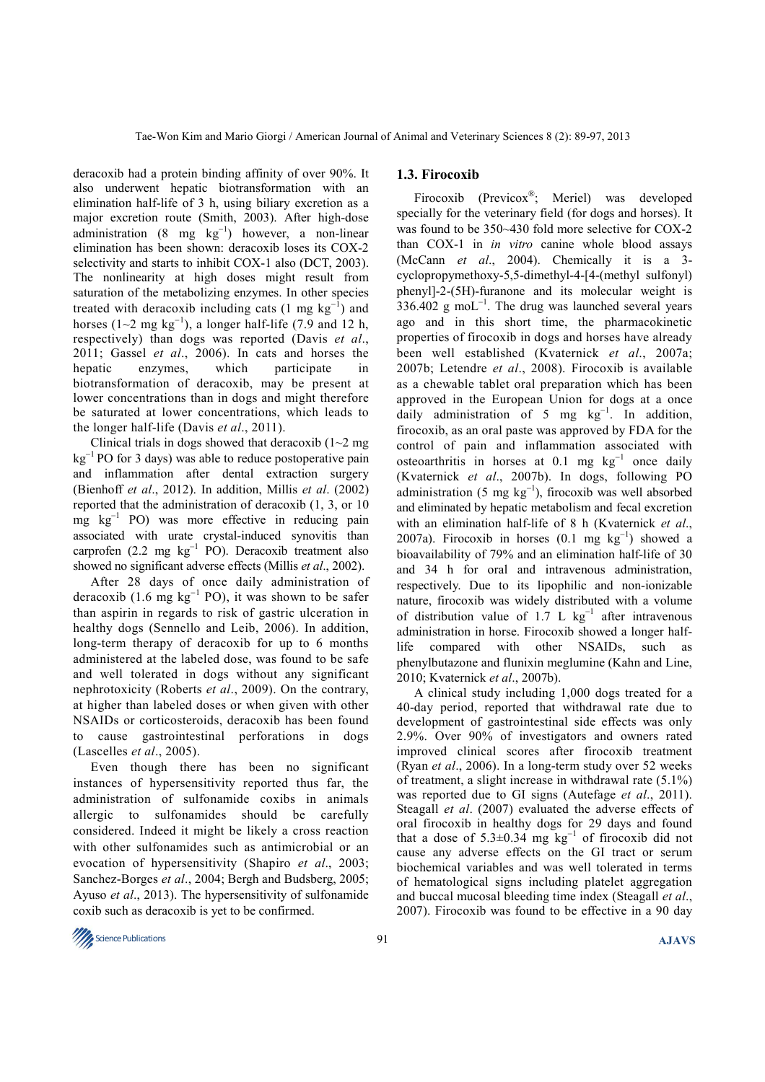deracoxib had a protein binding affinity of over 90%. It also underwent hepatic biotransformation with an elimination half-life of 3 h, using biliary excretion as a major excretion route (Smith, 2003). After high-dose administration  $(8 \text{ mg} \text{ kg}^{-1})$  however, a non-linear elimination has been shown: deracoxib loses its COX-2 selectivity and starts to inhibit COX-1 also (DCT, 2003). The nonlinearity at high doses might result from saturation of the metabolizing enzymes. In other species treated with deracoxib including cats  $(1 \text{ mg kg}^{-1})$  and horses  $(1~2~mg~kg^{-1})$ , a longer half-life (7.9 and 12 h, respectively) than dogs was reported (Davis *et al*., 2011; Gassel *et al*., 2006). In cats and horses the hepatic enzymes, which participate in biotransformation of deracoxib, may be present at lower concentrations than in dogs and might therefore be saturated at lower concentrations, which leads to the longer half-life (Davis *et al*., 2011).

Clinical trials in dogs showed that deracoxib  $(1-2)$  mg  $kg^{-1}$  PO for 3 days) was able to reduce postoperative pain and inflammation after dental extraction surgery (Bienhoff *et al*., 2012). In addition, Millis *et al*. (2002) reported that the administration of deracoxib (1, 3, or 10 mg kg<sup>-1</sup> PO) was more effective in reducing pain associated with urate crystal-induced synovitis than carprofen (2.2 mg kg<sup>−</sup><sup>1</sup> PO). Deracoxib treatment also showed no significant adverse effects (Millis *et al*., 2002).

After 28 days of once daily administration of deracoxib (1.6 mg  $kg^{-1}$  PO), it was shown to be safer than aspirin in regards to risk of gastric ulceration in healthy dogs (Sennello and Leib, 2006). In addition, long-term therapy of deracoxib for up to 6 months administered at the labeled dose, was found to be safe and well tolerated in dogs without any significant nephrotoxicity (Roberts *et al*., 2009). On the contrary, at higher than labeled doses or when given with other NSAIDs or corticosteroids, deracoxib has been found to cause gastrointestinal perforations in dogs (Lascelles *et al*., 2005).

Even though there has been no significant instances of hypersensitivity reported thus far, the administration of sulfonamide coxibs in animals allergic to sulfonamides should be carefully considered. Indeed it might be likely a cross reaction with other sulfonamides such as antimicrobial or an evocation of hypersensitivity (Shapiro *et al*., 2003; Sanchez-Borges *et al*., 2004; Bergh and Budsberg, 2005; Ayuso *et al*., 2013). The hypersensitivity of sulfonamide coxib such as deracoxib is yet to be confirmed.

# **1.3. Firocoxib**

Firocoxib (Previcox<sup>®</sup>; Meriel) was developed specially for the veterinary field (for dogs and horses). It was found to be 350~430 fold more selective for COX-2 than COX-1 in *in vitro* canine whole blood assays (McCann *et al*., 2004). Chemically it is a 3 cyclopropymethoxy-5,5-dimethyl-4-[4-(methyl sulfonyl) phenyl]-2-(5H)-furanone and its molecular weight is  $336.402$  g moL<sup>-1</sup>. The drug was launched several years ago and in this short time, the pharmacokinetic properties of firocoxib in dogs and horses have already been well established (Kvaternick *et al*., 2007a; 2007b; Letendre *et al*., 2008). Firocoxib is available as a chewable tablet oral preparation which has been approved in the European Union for dogs at a once daily administration of 5 mg  $\text{kg}^{-1}$ . In addition, firocoxib, as an oral paste was approved by FDA for the control of pain and inflammation associated with osteoarthritis in horses at 0.1 mg kg<sup>−</sup><sup>1</sup> once daily (Kvaternick *et al*., 2007b). In dogs, following PO administration (5 mg  $\text{kg}^{-1}$ ), firocoxib was well absorbed and eliminated by hepatic metabolism and fecal excretion with an elimination half-life of 8 h (Kvaternick *et al*., 2007a). Firocoxib in horses  $(0.1 \text{ mg } \text{kg}^{-1})$  showed a bioavailability of 79% and an elimination half-life of 30 and 34 h for oral and intravenous administration, respectively. Due to its lipophilic and non-ionizable nature, firocoxib was widely distributed with a volume of distribution value of 1.7 L  $\text{kg}^{-1}$  after intravenous administration in horse. Firocoxib showed a longer halflife compared with other NSAIDs, such as phenylbutazone and flunixin meglumine (Kahn and Line, 2010; Kvaternick *et al*., 2007b).

A clinical study including 1,000 dogs treated for a 40-day period, reported that withdrawal rate due to development of gastrointestinal side effects was only 2.9%. Over 90% of investigators and owners rated improved clinical scores after firocoxib treatment (Ryan *et al*., 2006). In a long-term study over 52 weeks of treatment, a slight increase in withdrawal rate (5.1%) was reported due to GI signs (Autefage *et al*., 2011). Steagall *et al*. (2007) evaluated the adverse effects of oral firocoxib in healthy dogs for 29 days and found that a dose of  $5.3\pm0.34$  mg kg<sup>-1</sup> of firocoxib did not cause any adverse effects on the GI tract or serum biochemical variables and was well tolerated in terms of hematological signs including platelet aggregation and buccal mucosal bleeding time index (Steagall *et al*., 2007). Firocoxib was found to be effective in a 90 day

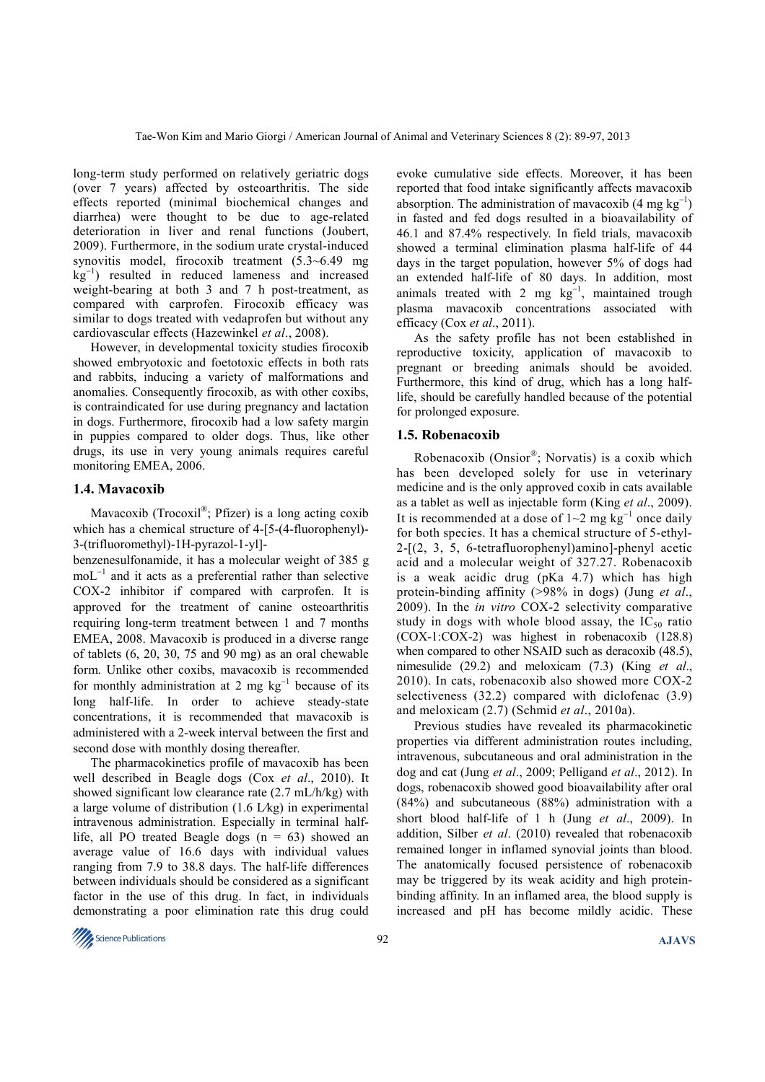long-term study performed on relatively geriatric dogs (over 7 years) affected by osteoarthritis. The side effects reported (minimal biochemical changes and diarrhea) were thought to be due to age-related deterioration in liver and renal functions (Joubert, 2009). Furthermore, in the sodium urate crystal-induced synovitis model, firocoxib treatment (5.3~6.49 mg kg<sup>-1</sup>) resulted in reduced lameness and increased weight-bearing at both 3 and 7 h post-treatment, as compared with carprofen. Firocoxib efficacy was similar to dogs treated with vedaprofen but without any cardiovascular effects (Hazewinkel *et al*., 2008).

However, in developmental toxicity studies firocoxib showed embryotoxic and foetotoxic effects in both rats and rabbits, inducing a variety of malformations and anomalies. Consequently firocoxib, as with other coxibs, is contraindicated for use during pregnancy and lactation in dogs. Furthermore, firocoxib had a low safety margin in puppies compared to older dogs. Thus, like other drugs, its use in very young animals requires careful monitoring EMEA, 2006.

#### **1.4. Mavacoxib**

Mavacoxib (Trocoxil®; Pfizer) is a long acting coxib which has a chemical structure of 4-[5-(4-fluorophenyl)-3-(trifluoromethyl)-1H-pyrazol-1-yl]-

benzenesulfonamide, it has a molecular weight of 385 g moL<sup>−</sup><sup>1</sup> and it acts as a preferential rather than selective COX-2 inhibitor if compared with carprofen. It is approved for the treatment of canine osteoarthritis requiring long-term treatment between 1 and 7 months EMEA, 2008. Mavacoxib is produced in a diverse range of tablets (6, 20, 30, 75 and 90 mg) as an oral chewable form. Unlike other coxibs, mavacoxib is recommended for monthly administration at 2 mg  $kg^{-1}$  because of its long half-life. In order to achieve steady-state concentrations, it is recommended that mavacoxib is administered with a 2-week interval between the first and second dose with monthly dosing thereafter.

The pharmacokinetics profile of mavacoxib has been well described in Beagle dogs (Cox *et al*., 2010). It showed significant low clearance rate (2.7 mL/h/kg) with a large volume of distribution (1.6 L⁄kg) in experimental intravenous administration. Especially in terminal halflife, all PO treated Beagle dogs  $(n = 63)$  showed an average value of 16.6 days with individual values ranging from 7.9 to 38.8 days. The half-life differences between individuals should be considered as a significant factor in the use of this drug. In fact, in individuals demonstrating a poor elimination rate this drug could evoke cumulative side effects. Moreover, it has been reported that food intake significantly affects mavacoxib absorption. The administration of mavacoxib  $(4 \text{ mg kg}^{-1})$ in fasted and fed dogs resulted in a bioavailability of 46.1 and 87.4% respectively. In field trials, mavacoxib showed a terminal elimination plasma half-life of 44 days in the target population, however 5% of dogs had an extended half-life of 80 days. In addition, most animals treated with 2 mg  $\text{kg}^{-1}$ , maintained trough plasma mavacoxib concentrations associated with efficacy (Cox *et al*., 2011).

As the safety profile has not been established in reproductive toxicity, application of mavacoxib to pregnant or breeding animals should be avoided. Furthermore, this kind of drug, which has a long halflife, should be carefully handled because of the potential for prolonged exposure.

#### **1.5. Robenacoxib**

Robenacoxib (Onsior® ; Norvatis) is a coxib which has been developed solely for use in veterinary medicine and is the only approved coxib in cats available as a tablet as well as injectable form (King *et al*., 2009). It is recommended at a dose of  $1 \sim 2$  mg kg<sup>-1</sup> once daily for both species. It has a chemical structure of 5-ethyl-2-[(2, 3, 5, 6-tetrafluorophenyl)amino]-phenyl acetic acid and a molecular weight of 327.27. Robenacoxib is a weak acidic drug (pKa 4.7) which has high protein-binding affinity (>98% in dogs) (Jung *et al*., 2009). In the *in vitro* COX-2 selectivity comparative study in dogs with whole blood assay, the  $IC_{50}$  ratio (COX-1:COX-2) was highest in robenacoxib (128.8) when compared to other NSAID such as deracoxib (48.5), nimesulide (29.2) and meloxicam (7.3) (King *et al*., 2010). In cats, robenacoxib also showed more COX-2 selectiveness (32.2) compared with diclofenac (3.9) and meloxicam (2.7) (Schmid *et al*., 2010a).

Previous studies have revealed its pharmacokinetic properties via different administration routes including, intravenous, subcutaneous and oral administration in the dog and cat (Jung *et al*., 2009; Pelligand *et al*., 2012). In dogs, robenacoxib showed good bioavailability after oral (84%) and subcutaneous (88%) administration with a short blood half-life of 1 h (Jung *et al*., 2009). In addition, Silber *et al*. (2010) revealed that robenacoxib remained longer in inflamed synovial joints than blood. The anatomically focused persistence of robenacoxib may be triggered by its weak acidity and high proteinbinding affinity. In an inflamed area, the blood supply is increased and pH has become mildly acidic. These

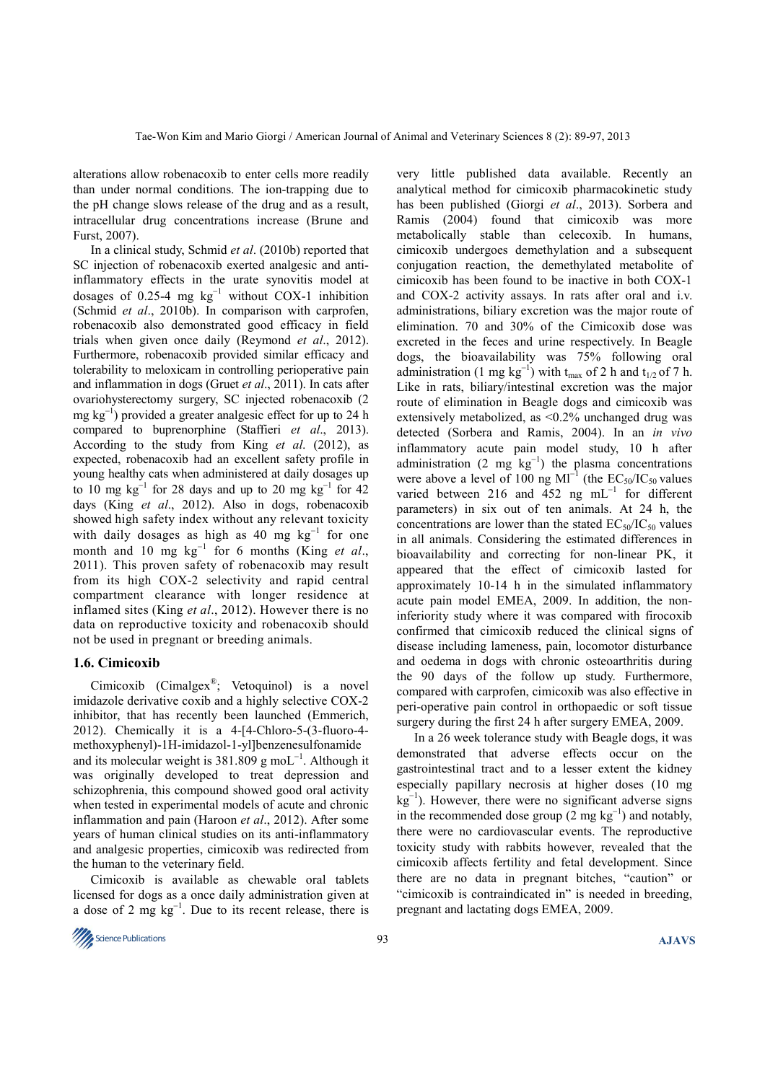alterations allow robenacoxib to enter cells more readily than under normal conditions. The ion-trapping due to the pH change slows release of the drug and as a result, intracellular drug concentrations increase (Brune and Furst, 2007).

In a clinical study, Schmid *et al*. (2010b) reported that SC injection of robenacoxib exerted analgesic and antiinflammatory effects in the urate synovitis model at dosages of  $0.25-4$  mg kg<sup>-1</sup> without COX-1 inhibition (Schmid *et al*., 2010b). In comparison with carprofen, robenacoxib also demonstrated good efficacy in field trials when given once daily (Reymond *et al*., 2012). Furthermore, robenacoxib provided similar efficacy and tolerability to meloxicam in controlling perioperative pain and inflammation in dogs (Gruet *et al*., 2011). In cats after ovariohysterectomy surgery, SC injected robenacoxib (2 mg kg<sup>−</sup><sup>1</sup> ) provided a greater analgesic effect for up to 24 h compared to buprenorphine (Staffieri *et al*., 2013). According to the study from King *et al*. (2012), as expected, robenacoxib had an excellent safety profile in young healthy cats when administered at daily dosages up to 10 mg kg<sup>-1</sup> for 28 days and up to 20 mg kg<sup>-1</sup> for 42 days (King *et al*., 2012). Also in dogs, robenacoxib showed high safety index without any relevant toxicity with daily dosages as high as  $40$  mg kg<sup>-1</sup> for one month and 10 mg kg<sup>−</sup><sup>1</sup> for 6 months (King *et al*., 2011). This proven safety of robenacoxib may result from its high COX-2 selectivity and rapid central compartment clearance with longer residence at inflamed sites (King *et al*., 2012). However there is no data on reproductive toxicity and robenacoxib should not be used in pregnant or breeding animals.

#### **1.6. Cimicoxib**

Cimicoxib (Cimalgex® ; Vetoquinol) is a novel imidazole derivative coxib and a highly selective COX-2 inhibitor, that has recently been launched (Emmerich, 2012). Chemically it is a 4-[4-Chloro-5-(3-fluoro-4 methoxyphenyl)-1H-imidazol-1-yl]benzenesulfonamide and its molecular weight is  $381.809$  g moL<sup>-1</sup>. Although it was originally developed to treat depression and schizophrenia, this compound showed good oral activity when tested in experimental models of acute and chronic inflammation and pain (Haroon *et al*., 2012). After some years of human clinical studies on its anti-inflammatory and analgesic properties, cimicoxib was redirected from the human to the veterinary field.

Cimicoxib is available as chewable oral tablets licensed for dogs as a once daily administration given at a dose of 2 mg  $kg^{-1}$ . Due to its recent release, there is

very little published data available. Recently an analytical method for cimicoxib pharmacokinetic study has been published (Giorgi *et al*., 2013). Sorbera and Ramis (2004) found that cimicoxib was more metabolically stable than celecoxib. In humans, cimicoxib undergoes demethylation and a subsequent conjugation reaction, the demethylated metabolite of cimicoxib has been found to be inactive in both COX-1 and COX-2 activity assays. In rats after oral and i.v. administrations, biliary excretion was the major route of elimination. 70 and 30% of the Cimicoxib dose was excreted in the feces and urine respectively. In Beagle dogs, the bioavailability was 75% following oral administration (1 mg kg<sup>-1</sup>) with t<sub>max</sub> of 2 h and t<sub>1/2</sub> of 7 h. Like in rats, biliary/intestinal excretion was the major route of elimination in Beagle dogs and cimicoxib was extensively metabolized, as <0.2% unchanged drug was detected (Sorbera and Ramis, 2004). In an *in vivo* inflammatory acute pain model study, 10 h after administration  $(2 \text{ mg} \text{ kg}^{-1})$  the plasma concentrations were above a level of 100 ng Ml<sup>-1</sup> (the  $EC_{50}/IC_{50}$  values varied between 216 and  $\overline{452}$  ng mL<sup>-1</sup> for different parameters) in six out of ten animals. At 24 h, the concentrations are lower than the stated  $EC_{50}/IC_{50}$  values in all animals. Considering the estimated differences in bioavailability and correcting for non-linear PK, it appeared that the effect of cimicoxib lasted for approximately 10-14 h in the simulated inflammatory acute pain model EMEA, 2009. In addition, the noninferiority study where it was compared with firocoxib confirmed that cimicoxib reduced the clinical signs of disease including lameness, pain, locomotor disturbance and oedema in dogs with chronic osteoarthritis during the 90 days of the follow up study. Furthermore, compared with carprofen, cimicoxib was also effective in peri-operative pain control in orthopaedic or soft tissue surgery during the first 24 h after surgery EMEA, 2009.

In a 26 week tolerance study with Beagle dogs, it was demonstrated that adverse effects occur on the gastrointestinal tract and to a lesser extent the kidney especially papillary necrosis at higher doses (10 mg kg<sup>-1</sup>). However, there were no significant adverse signs in the recommended dose group  $(2 \text{ mg kg}^{-1})$  and notably, there were no cardiovascular events. The reproductive toxicity study with rabbits however, revealed that the cimicoxib affects fertility and fetal development. Since there are no data in pregnant bitches, "caution" or "cimicoxib is contraindicated in" is needed in breeding, pregnant and lactating dogs EMEA, 2009.

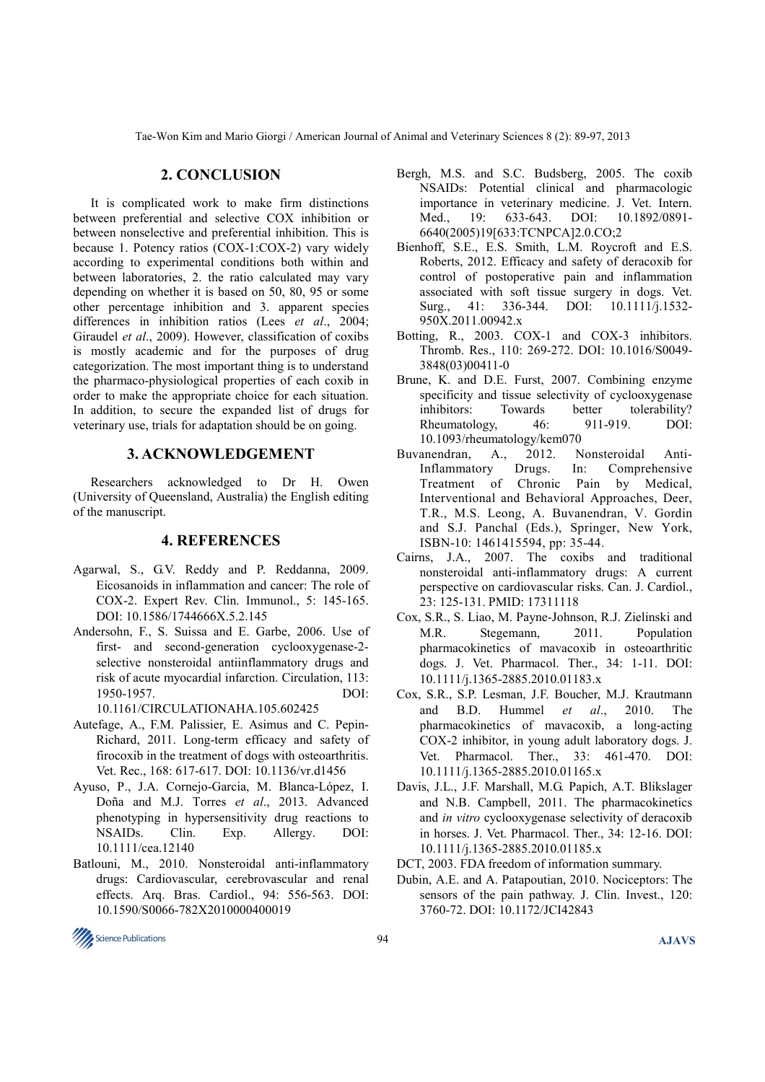# **2. CONCLUSION**

It is complicated work to make firm distinctions between preferential and selective COX inhibition or between nonselective and preferential inhibition. This is because 1. Potency ratios (COX-1:COX-2) vary widely according to experimental conditions both within and between laboratories, 2. the ratio calculated may vary depending on whether it is based on 50, 80, 95 or some other percentage inhibition and 3. apparent species differences in inhibition ratios (Lees *et al*., 2004; Giraudel *et al*., 2009). However, classification of coxibs is mostly academic and for the purposes of drug categorization. The most important thing is to understand the pharmaco-physiological properties of each coxib in order to make the appropriate choice for each situation. In addition, to secure the expanded list of drugs for veterinary use, trials for adaptation should be on going.

### **3. ACKNOWLEDGEMENT**

Researchers acknowledged to Dr H. Owen (University of Queensland, Australia) the English editing of the manuscript.

# **4. REFERENCES**

- Agarwal, S., G.V. Reddy and P. Reddanna, 2009. Eicosanoids in inflammation and cancer: The role of COX-2. Expert Rev. Clin. Immunol., 5: 145-165. DOI: 10.1586/1744666X.5.2.145
- Andersohn, F., S. Suissa and E. Garbe, 2006. Use of first- and second-generation cyclooxygenase-2 selective nonsteroidal antiinflammatory drugs and risk of acute myocardial infarction. Circulation, 113: 1950-1957. DOI:

10.1161/CIRCULATIONAHA.105.602425

- Autefage, A., F.M. Palissier, E. Asimus and C. Pepin-Richard, 2011. Long-term efficacy and safety of firocoxib in the treatment of dogs with osteoarthritis. Vet. Rec., 168: 617-617. DOI: 10.1136/vr.d1456
- Ayuso, P., J.A. Cornejo-Garcia, M. Blanca-López, I. Doña and M.J. Torres *et al*., 2013. Advanced phenotyping in hypersensitivity drug reactions to NSAIDs. Clin. Exp. Allergy. DOI: 10.1111/cea.12140
- Batlouni, M., 2010. Nonsteroidal anti-inflammatory drugs: Cardiovascular, cerebrovascular and renal effects. Arq. Bras. Cardiol., 94: 556-563. DOI: 10.1590/S0066-782X2010000400019
- Bergh, M.S. and S.C. Budsberg, 2005. The coxib NSAIDs: Potential clinical and pharmacologic importance in veterinary medicine. J. Vet. Intern.<br>Med., 19: 633-643. DOI: 10.1892/0891-Med., 19: 633-643. DOI: 10.1892/0891-6640(2005)19[633:TCNPCA]2.0.CO;2
- Bienhoff, S.E., E.S. Smith, L.M. Roycroft and E.S. Roberts, 2012. Efficacy and safety of deracoxib for control of postoperative pain and inflammation associated with soft tissue surgery in dogs. Vet. Surg., 41: 336-344. DOI: 10.1111/j.1532-950X.2011.00942.x
- Botting, R., 2003. COX-1 and COX-3 inhibitors. Thromb. Res., 110: 269-272. DOI: 10.1016/S0049- 3848(03)00411-0
- Brune, K. and D.E. Furst, 2007. Combining enzyme specificity and tissue selectivity of cyclooxygenase inhibitors: Towards better tolerability? Rheumatology, 46: 911-919. DOI: 10.1093/rheumatology/kem070
- Buvanendran, A., 2012. Nonsteroidal Anti-Inflammatory Drugs. In: Comprehensive Treatment of Chronic Pain by Medical, Interventional and Behavioral Approaches, Deer, T.R., M.S. Leong, A. Buvanendran, V. Gordin and S.J. Panchal (Eds.), Springer, New York, ISBN-10: 1461415594, pp: 35-44.
- Cairns, J.A., 2007. The coxibs and traditional nonsteroidal anti-inflammatory drugs: A current perspective on cardiovascular risks. Can. J. Cardiol., 23: 125-131. PMID: 17311118
- Cox, S.R., S. Liao, M. Payne-Johnson, R.J. Zielinski and M.R. Stegemann, 2011. Population pharmacokinetics of mavacoxib in osteoarthritic dogs. J. Vet. Pharmacol. Ther., 34: 1-11. DOI: 10.1111/j.1365-2885.2010.01183.x
- Cox, S.R., S.P. Lesman, J.F. Boucher, M.J. Krautmann and B.D. Hummel *et al*., 2010. The pharmacokinetics of mavacoxib, a long-acting COX-2 inhibitor, in young adult laboratory dogs. J. Vet. Pharmacol. Ther., 33: 461-470. DOI: 10.1111/j.1365-2885.2010.01165.x
- Davis, J.L., J.F. Marshall, M.G. Papich, A.T. Blikslager and N.B. Campbell, 2011. The pharmacokinetics and *in vitro* cyclooxygenase selectivity of deracoxib in horses. J. Vet. Pharmacol. Ther., 34: 12-16. DOI: 10.1111/j.1365-2885.2010.01185.x
- DCT, 2003. FDA freedom of information summary.
- Dubin, A.E. and A. Patapoutian, 2010. Nociceptors: The sensors of the pain pathway. J. Clin. Invest., 120: 3760-72. DOI: 10.1172/JCI42843

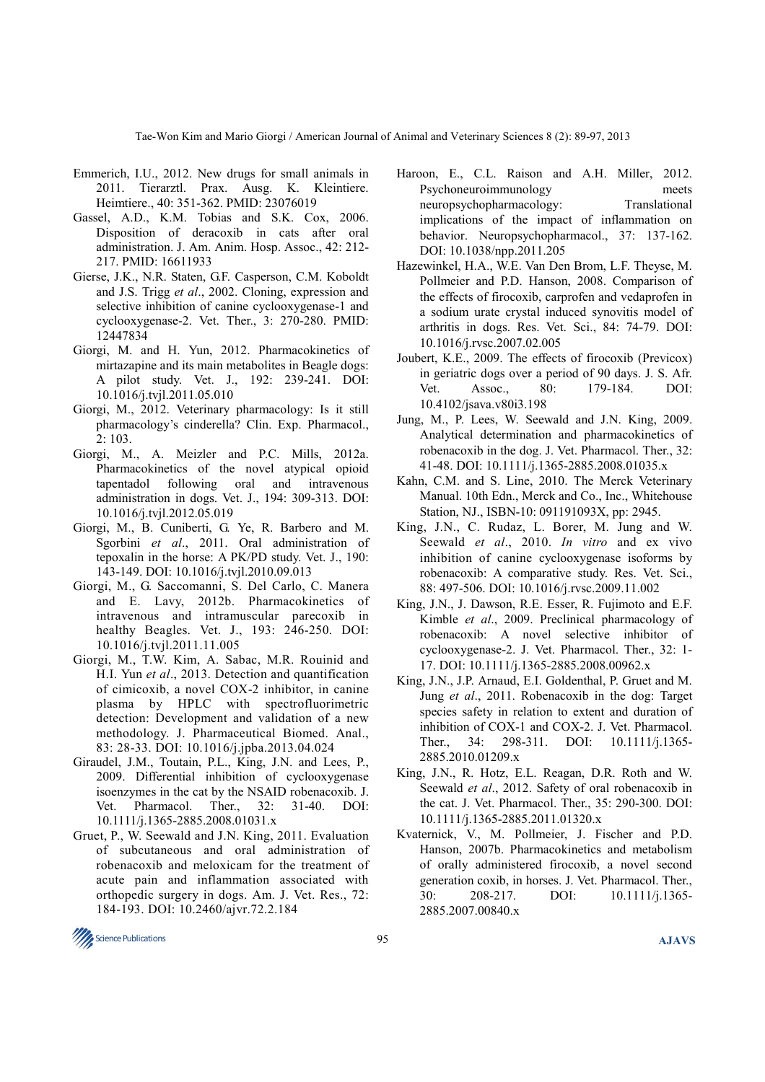- Emmerich, I.U., 2012. New drugs for small animals in 2011. Tierarztl. Prax. Ausg. K. Kleintiere. Heimtiere., 40: 351-362. PMID: 23076019
- Gassel, A.D., K.M. Tobias and S.K. Cox, 2006. Disposition of deracoxib in cats after oral administration. J. Am. Anim. Hosp. Assoc., 42: 212- 217. PMID: 16611933
- Gierse, J.K., N.R. Staten, G.F. Casperson, C.M. Koboldt and J.S. Trigg *et al*., 2002. Cloning, expression and selective inhibition of canine cyclooxygenase-1 and cyclooxygenase-2. Vet. Ther., 3: 270-280. PMID: 12447834
- Giorgi, M. and H. Yun, 2012. Pharmacokinetics of mirtazapine and its main metabolites in Beagle dogs: A pilot study. Vet. J., 192: 239-241. DOI: 10.1016/j.tvjl.2011.05.010
- Giorgi, M., 2012. Veterinary pharmacology: Is it still pharmacology's cinderella? Clin. Exp. Pharmacol., 2: 103.
- Giorgi, M., A. Meizler and P.C. Mills, 2012a. Pharmacokinetics of the novel atypical opioid tapentadol following oral and intravenous administration in dogs. Vet. J., 194: 309-313. DOI: 10.1016/j.tvjl.2012.05.019
- Giorgi, M., B. Cuniberti, G. Ye, R. Barbero and M. Sgorbini *et al*., 2011. Oral administration of tepoxalin in the horse: A PK/PD study. Vet. J., 190: 143-149. DOI: 10.1016/j.tvjl.2010.09.013
- Giorgi, M., G. Saccomanni, S. Del Carlo, C. Manera and E. Lavy, 2012b. Pharmacokinetics of intravenous and intramuscular parecoxib in healthy Beagles. Vet. J., 193: 246-250. DOI: 10.1016/j.tvjl.2011.11.005
- Giorgi, M., T.W. Kim, A. Sabac, M.R. Rouinid and H.I. Yun *et al*., 2013. Detection and quantification of cimicoxib, a novel COX-2 inhibitor, in canine plasma by HPLC with spectrofluorimetric detection: Development and validation of a new methodology. J. Pharmaceutical Biomed. Anal., 83: 28-33. DOI: 10.1016/j.jpba.2013.04.024
- Giraudel, J.M., Toutain, P.L., King, J.N. and Lees, P., 2009. Differential inhibition of cyclooxygenase isoenzymes in the cat by the NSAID robenacoxib. J. Vet. Pharmacol. Ther., 32: 31-40. DOI: 10.1111/j.1365-2885.2008.01031.x
- Gruet, P., W. Seewald and J.N. King, 2011. Evaluation of subcutaneous and oral administration of robenacoxib and meloxicam for the treatment of acute pain and inflammation associated with orthopedic surgery in dogs. Am. J. Vet. Res., 72: 184-193. DOI: 10.2460/ajvr.72.2.184
- Haroon, E., C.L. Raison and A.H. Miller, 2012. Psychoneuroimmunology meets neuropsychopharmacology: Translational implications of the impact of inflammation on behavior. Neuropsychopharmacol., 37: 137-162. DOI: 10.1038/npp.2011.205
- Hazewinkel, H.A., W.E. Van Den Brom, L.F. Theyse, M. Pollmeier and P.D. Hanson, 2008. Comparison of the effects of firocoxib, carprofen and vedaprofen in a sodium urate crystal induced synovitis model of arthritis in dogs. Res. Vet. Sci., 84: 74-79. DOI: 10.1016/j.rvsc.2007.02.005
- Joubert, K.E., 2009. The effects of firocoxib (Previcox) in geriatric dogs over a period of 90 days. J. S. Afr. Vet. Assoc., 80: 179-184. DOI: 10.4102/jsava.v80i3.198
- Jung, M., P. Lees, W. Seewald and J.N. King, 2009. Analytical determination and pharmacokinetics of robenacoxib in the dog. J. Vet. Pharmacol. Ther., 32: 41-48. DOI: 10.1111/j.1365-2885.2008.01035.x
- Kahn, C.M. and S. Line, 2010. The Merck Veterinary Manual. 10th Edn., Merck and Co., Inc., Whitehouse Station, NJ., ISBN-10: 091191093X, pp: 2945.
- King, J.N., C. Rudaz, L. Borer, M. Jung and W. Seewald *et al*., 2010. *In vitro* and ex vivo inhibition of canine cyclooxygenase isoforms by robenacoxib: A comparative study. Res. Vet. Sci., 88: 497-506. DOI: 10.1016/j.rvsc.2009.11.002
- King, J.N., J. Dawson, R.E. Esser, R. Fujimoto and E.F. Kimble *et al*., 2009. Preclinical pharmacology of robenacoxib: A novel selective inhibitor of cyclooxygenase-2. J. Vet. Pharmacol. Ther., 32: 1- 17. DOI: 10.1111/j.1365-2885.2008.00962.x
- King, J.N., J.P. Arnaud, E.I. Goldenthal, P. Gruet and M. Jung *et al*., 2011. Robenacoxib in the dog: Target species safety in relation to extent and duration of inhibition of COX-1 and COX-2. J. Vet. Pharmacol. Ther., 34: 298-311. DOI: 10.1111/j.1365- 2885.2010.01209.x
- King, J.N., R. Hotz, E.L. Reagan, D.R. Roth and W. Seewald *et al*., 2012. Safety of oral robenacoxib in the cat. J. Vet. Pharmacol. Ther., 35: 290-300. DOI: 10.1111/j.1365-2885.2011.01320.x
- Kvaternick, V., M. Pollmeier, J. Fischer and P.D. Hanson, 2007b. Pharmacokinetics and metabolism of orally administered firocoxib, a novel second generation coxib, in horses. J. Vet. Pharmacol. Ther., 30: 208-217. DOI: 10.1111/j.1365- 2885.2007.00840.x

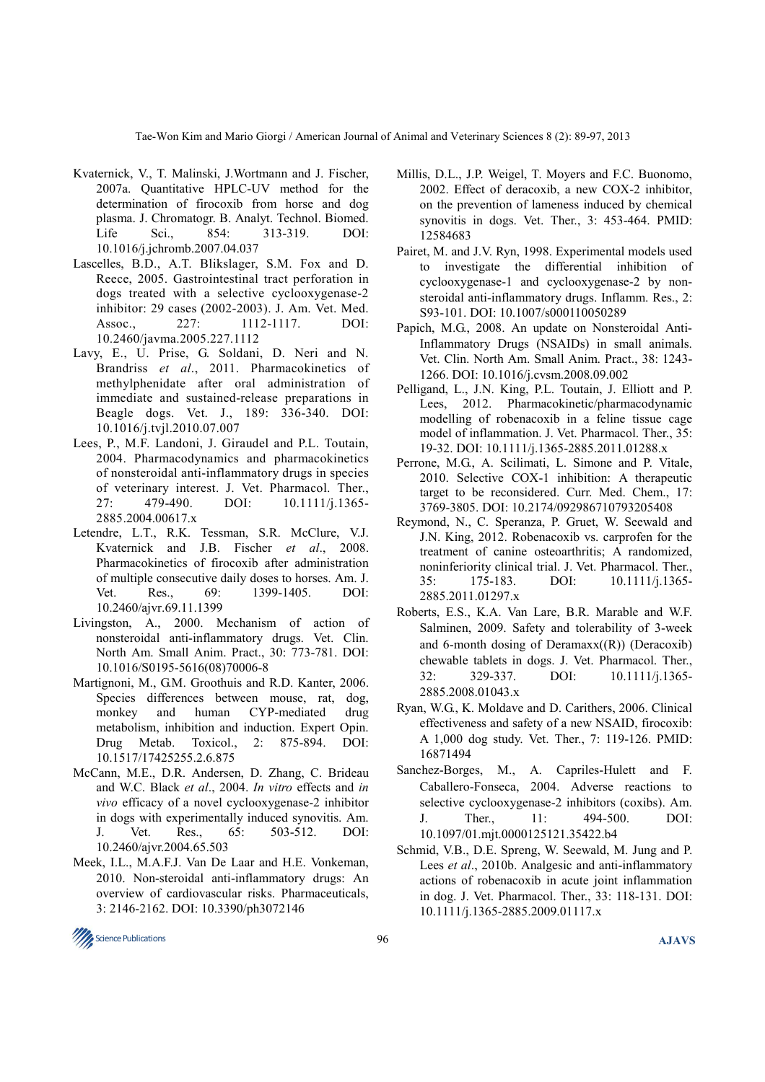- Kvaternick, V., T. Malinski, J.Wortmann and J. Fischer, 2007a. Quantitative HPLC-UV method for the determination of firocoxib from horse and dog plasma. J. Chromatogr. B. Analyt. Technol. Biomed. Life Sci., 854: 313-319. DOI: 10.1016/j.jchromb.2007.04.037
- Lascelles, B.D., A.T. Blikslager, S.M. Fox and D. Reece, 2005. Gastrointestinal tract perforation in dogs treated with a selective cyclooxygenase-2 inhibitor: 29 cases (2002-2003). J. Am. Vet. Med. Assoc., 227: 1112-1117. DOI: 10.2460/javma.2005.227.1112
- Lavy, E., U. Prise, G. Soldani, D. Neri and N. Brandriss *et al*., 2011. Pharmacokinetics of methylphenidate after oral administration of immediate and sustained-release preparations in Beagle dogs. Vet. J., 189: 336-340. DOI: 10.1016/j.tvjl.2010.07.007
- Lees, P., M.F. Landoni, J. Giraudel and P.L. Toutain, 2004. Pharmacodynamics and pharmacokinetics of nonsteroidal anti-inflammatory drugs in species of veterinary interest. J. Vet. Pharmacol. Ther., 27: 479-490. DOI: 10.1111/j.1365- 2885.2004.00617.x
- Letendre, L.T., R.K. Tessman, S.R. McClure, V.J. Kvaternick and J.B. Fischer *et al*., 2008. Pharmacokinetics of firocoxib after administration of multiple consecutive daily doses to horses. Am. J. Vet. Res., 69: 1399-1405. DOI: 10.2460/ajvr.69.11.1399
- Livingston, A., 2000. Mechanism of action of nonsteroidal anti-inflammatory drugs. Vet. Clin. North Am. Small Anim. Pract., 30: 773-781. DOI: 10.1016/S0195-5616(08)70006-8
- Martignoni, M., G.M. Groothuis and R.D. Kanter, 2006. Species differences between mouse, rat, dog, monkey and human CYP-mediated drug metabolism, inhibition and induction. Expert Opin. Drug Metab. Toxicol., 2: 875-894. DOI: 10.1517/17425255.2.6.875
- McCann, M.E., D.R. Andersen, D. Zhang, C. Brideau and W.C. Black *et al*., 2004. *In vitro* effects and *in vivo* efficacy of a novel cyclooxygenase-2 inhibitor in dogs with experimentally induced synovitis. Am. J. Vet. Res., 65: 503-512. DOI: 10.2460/ajvr.2004.65.503
- Meek, I.L., M.A.F.J. Van De Laar and H.E. Vonkeman, 2010. Non-steroidal anti-inflammatory drugs: An overview of cardiovascular risks. Pharmaceuticals, 3: 2146-2162. DOI: 10.3390/ph3072146
- Millis, D.L., J.P. Weigel, T. Moyers and F.C. Buonomo, 2002. Effect of deracoxib, a new COX-2 inhibitor, on the prevention of lameness induced by chemical synovitis in dogs. Vet. Ther., 3: 453-464. PMID: 12584683
- Pairet, M. and J.V. Ryn, 1998. Experimental models used to investigate the differential inhibition of cyclooxygenase-1 and cyclooxygenase-2 by nonsteroidal anti-inflammatory drugs. Inflamm. Res., 2: S93-101. DOI: 10.1007/s000110050289
- Papich, M.G., 2008. An update on Nonsteroidal Anti-Inflammatory Drugs (NSAIDs) in small animals. Vet. Clin. North Am. Small Anim. Pract., 38: 1243- 1266. DOI: 10.1016/j.cvsm.2008.09.002
- Pelligand, L., J.N. King, P.L. Toutain, J. Elliott and P. Lees, 2012. Pharmacokinetic/pharmacodynamic modelling of robenacoxib in a feline tissue cage model of inflammation. J. Vet. Pharmacol. Ther., 35: 19-32. DOI: 10.1111/j.1365-2885.2011.01288.x
- Perrone, M.G., A. Scilimati, L. Simone and P. Vitale, 2010. Selective COX-1 inhibition: A therapeutic target to be reconsidered. Curr. Med. Chem., 17: 3769-3805. DOI: 10.2174/092986710793205408
- Reymond, N., C. Speranza, P. Gruet, W. Seewald and J.N. King, 2012. Robenacoxib vs. carprofen for the treatment of canine osteoarthritis; A randomized, noninferiority clinical trial. J. Vet. Pharmacol. Ther., 35: 175-183. DOI: 10.1111/j.1365- 2885.2011.01297.x
- Roberts, E.S., K.A. Van Lare, B.R. Marable and W.F. Salminen, 2009. Safety and tolerability of 3-week and 6-month dosing of Deramaxx $((R))$  (Deracoxib) chewable tablets in dogs. J. Vet. Pharmacol. Ther., 32: 329-337. DOI: 10.1111/j.1365- 2885.2008.01043.x
- Ryan, W.G., K. Moldave and D. Carithers, 2006. Clinical effectiveness and safety of a new NSAID, firocoxib: A 1,000 dog study. Vet. Ther., 7: 119-126. PMID: 16871494
- Sanchez-Borges, M., A. Capriles-Hulett and F. Caballero-Fonseca, 2004. Adverse reactions to selective cyclooxygenase-2 inhibitors (coxibs). Am. J. Ther., 11: 494-500. DOI: 10.1097/01.mjt.0000125121.35422.b4
- Schmid, V.B., D.E. Spreng, W. Seewald, M. Jung and P. Lees *et al*., 2010b. Analgesic and anti-inflammatory actions of robenacoxib in acute joint inflammation in dog. J. Vet. Pharmacol. Ther., 33: 118-131. DOI: 10.1111/j.1365-2885.2009.01117.x